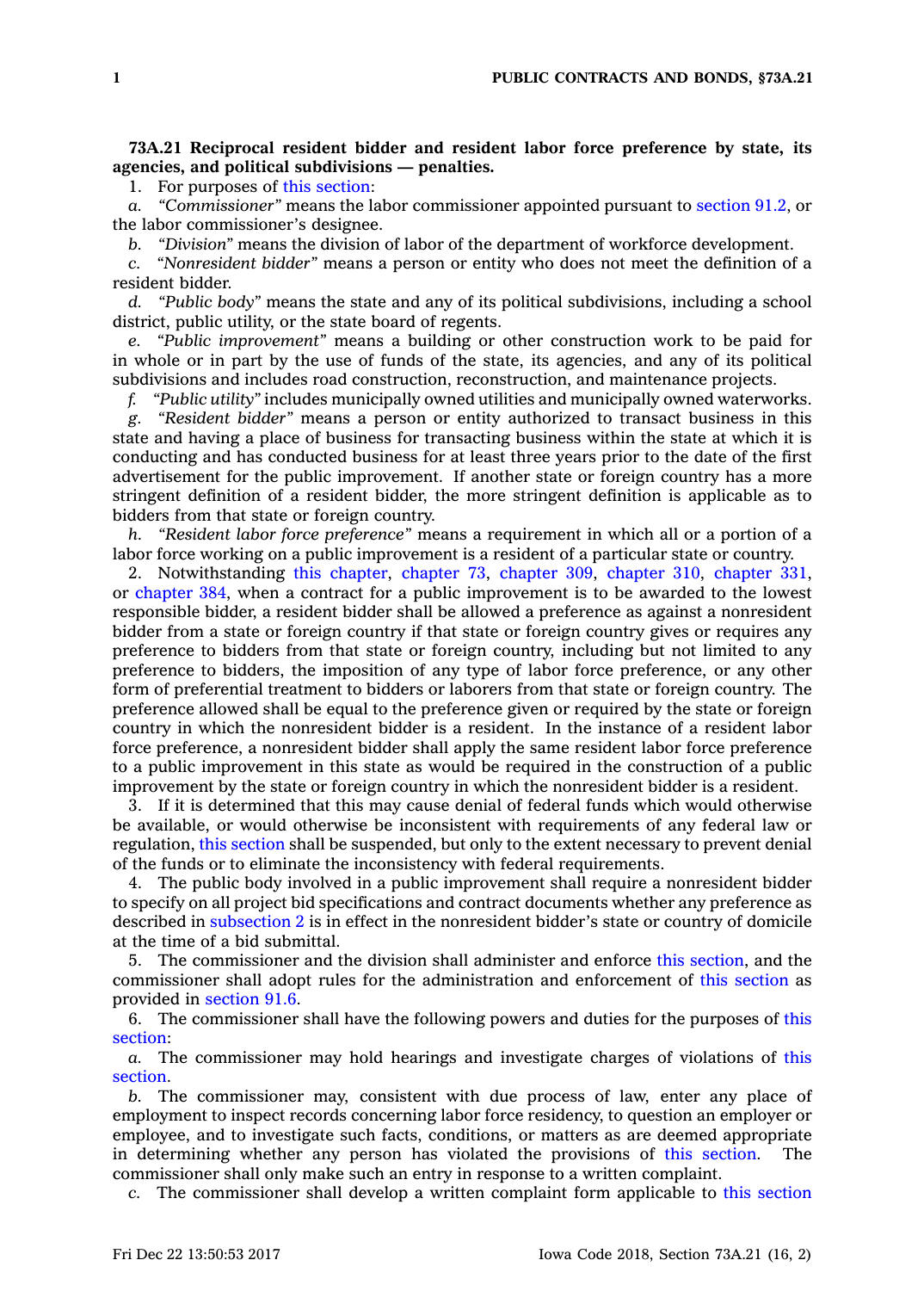**73A.21 Reciprocal resident bidder and resident labor force preference by state, its agencies, and political subdivisions — penalties.**

1. For purposes of this [section](https://www.legis.iowa.gov/docs/code/73A.21.pdf):

*a. "Commissioner"* means the labor commissioner appointed pursuant to [section](https://www.legis.iowa.gov/docs/code/91.2.pdf) 91.2, or the labor commissioner's designee.

*b. "Division"* means the division of labor of the department of workforce development.

*c. "Nonresident bidder"* means <sup>a</sup> person or entity who does not meet the definition of <sup>a</sup> resident bidder.

*d. "Public body"* means the state and any of its political subdivisions, including <sup>a</sup> school district, public utility, or the state board of regents.

*e. "Public improvement"* means <sup>a</sup> building or other construction work to be paid for in whole or in part by the use of funds of the state, its agencies, and any of its political subdivisions and includes road construction, reconstruction, and maintenance projects.

*f. "Public utility"* includes municipally owned utilities and municipally owned waterworks.

*g. "Resident bidder"* means <sup>a</sup> person or entity authorized to transact business in this state and having <sup>a</sup> place of business for transacting business within the state at which it is conducting and has conducted business for at least three years prior to the date of the first advertisement for the public improvement. If another state or foreign country has <sup>a</sup> more stringent definition of <sup>a</sup> resident bidder, the more stringent definition is applicable as to bidders from that state or foreign country.

*h. "Resident labor force preference"* means <sup>a</sup> requirement in which all or <sup>a</sup> portion of <sup>a</sup> labor force working on <sup>a</sup> public improvement is <sup>a</sup> resident of <sup>a</sup> particular state or country.

2. Notwithstanding this [chapter](https://www.legis.iowa.gov/docs/code//73A.pdf), [chapter](https://www.legis.iowa.gov/docs/code//73.pdf) 73, [chapter](https://www.legis.iowa.gov/docs/code//309.pdf) 309, [chapter](https://www.legis.iowa.gov/docs/code//310.pdf) 310, [chapter](https://www.legis.iowa.gov/docs/code//331.pdf) 331, or [chapter](https://www.legis.iowa.gov/docs/code//384.pdf) 384, when <sup>a</sup> contract for <sup>a</sup> public improvement is to be awarded to the lowest responsible bidder, <sup>a</sup> resident bidder shall be allowed <sup>a</sup> preference as against <sup>a</sup> nonresident bidder from <sup>a</sup> state or foreign country if that state or foreign country gives or requires any preference to bidders from that state or foreign country, including but not limited to any preference to bidders, the imposition of any type of labor force preference, or any other form of preferential treatment to bidders or laborers from that state or foreign country. The preference allowed shall be equal to the preference given or required by the state or foreign country in which the nonresident bidder is <sup>a</sup> resident. In the instance of <sup>a</sup> resident labor force preference, <sup>a</sup> nonresident bidder shall apply the same resident labor force preference to <sup>a</sup> public improvement in this state as would be required in the construction of <sup>a</sup> public improvement by the state or foreign country in which the nonresident bidder is <sup>a</sup> resident.

3. If it is determined that this may cause denial of federal funds which would otherwise be available, or would otherwise be inconsistent with requirements of any federal law or regulation, this [section](https://www.legis.iowa.gov/docs/code/73A.21.pdf) shall be suspended, but only to the extent necessary to prevent denial of the funds or to eliminate the inconsistency with federal requirements.

4. The public body involved in <sup>a</sup> public improvement shall require <sup>a</sup> nonresident bidder to specify on all project bid specifications and contract documents whether any preference as described in [subsection](https://www.legis.iowa.gov/docs/code/73A.21.pdf) 2 is in effect in the nonresident bidder's state or country of domicile at the time of <sup>a</sup> bid submittal.

5. The commissioner and the division shall administer and enforce this [section](https://www.legis.iowa.gov/docs/code/73A.21.pdf), and the commissioner shall adopt rules for the administration and enforcement of this [section](https://www.legis.iowa.gov/docs/code/73A.21.pdf) as provided in [section](https://www.legis.iowa.gov/docs/code/91.6.pdf) 91.6.

6. The commissioner shall have the following powers and duties for the purposes of [this](https://www.legis.iowa.gov/docs/code/73A.21.pdf) [section](https://www.legis.iowa.gov/docs/code/73A.21.pdf):

*a.* The commissioner may hold hearings and investigate charges of violations of [this](https://www.legis.iowa.gov/docs/code/73A.21.pdf) [section](https://www.legis.iowa.gov/docs/code/73A.21.pdf).

*b.* The commissioner may, consistent with due process of law, enter any place of employment to inspect records concerning labor force residency, to question an employer or employee, and to investigate such facts, conditions, or matters as are deemed appropriate in determining whether any person has violated the provisions of this [section](https://www.legis.iowa.gov/docs/code/73A.21.pdf). The commissioner shall only make such an entry in response to <sup>a</sup> written complaint.

*c.* The commissioner shall develop <sup>a</sup> written complaint form applicable to this [section](https://www.legis.iowa.gov/docs/code/73A.21.pdf)